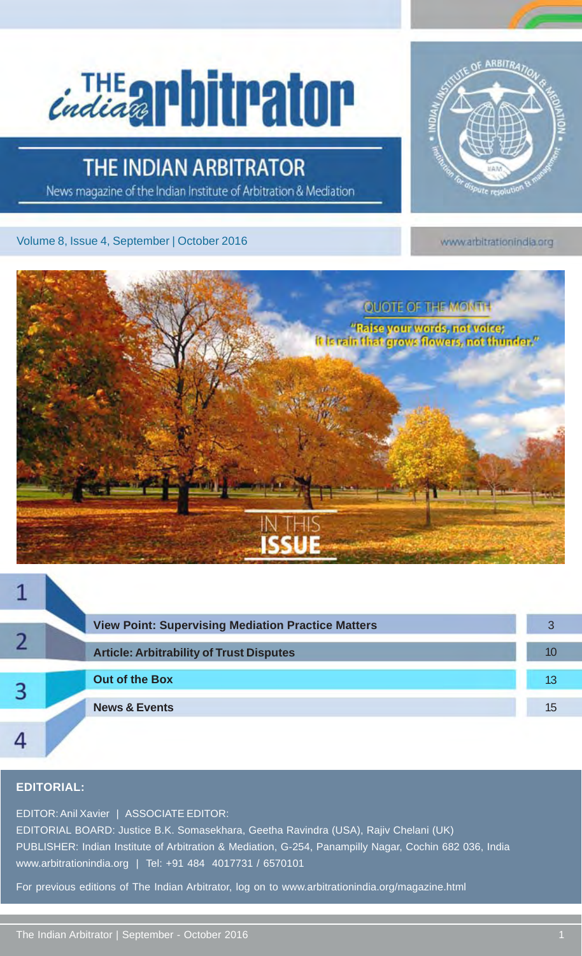# Cindia applituator

### THE INDIAN ARBITRATOR

News magazine of the Indian Institute of Arbitration & Mediation

#### Volume 8, Issue 4, September | October 2016

**ARBITRATIC** 

www.arbitrationindia.org



|  | <b>View Point: Supervising Mediation Practice Matters</b> |    |
|--|-----------------------------------------------------------|----|
|  | <b>Article: Arbitrability of Trust Disputes</b>           | 10 |
|  | <b>Out of the Box</b>                                     | 13 |
|  | <b>News &amp; Events</b>                                  | 15 |
|  |                                                           |    |

#### **EDITORIAL:**

EDITOR: Anil Xavier | ASSOCIATE EDITOR:

EDITORIAL BOARD: Justice B.K. Somasekhara, Geetha Ravindra (USA), Rajiv Chelani (UK) PUBLISHER: Indian Institute of Arbitration & Mediation, G-254, Panampilly Nagar, Cochin 682 036, India www.arbitrationindia.org | Tel: +91 484 4017731 / 6570101

For previous editions of The Indian Arbitrator, log on to www.arbitrationindia.org/magazine.html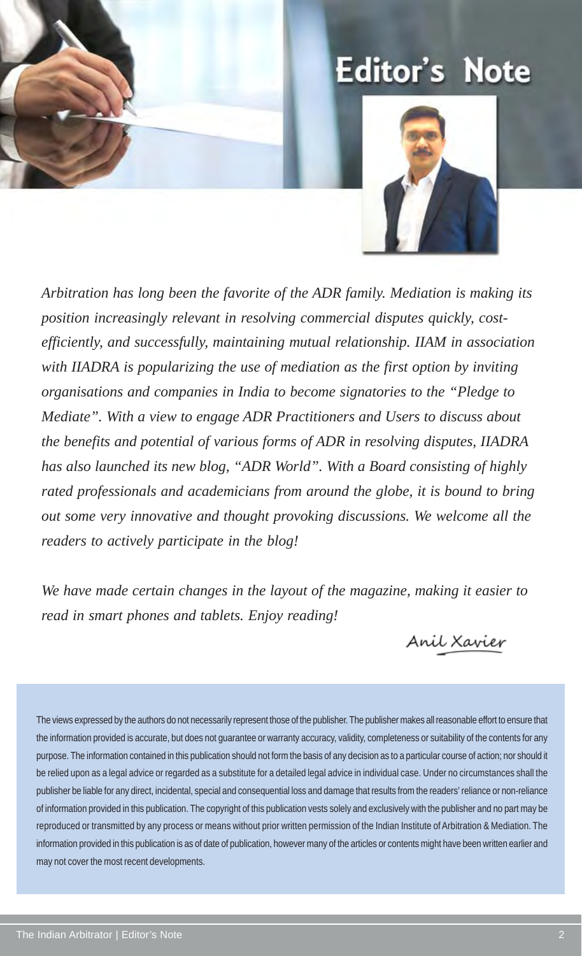# **Editor's Note**



*Arbitration has long been the favorite of the ADR family. Mediation is making its position increasingly relevant in resolving commercial disputes quickly, costefficiently, and successfully, maintaining mutual relationship. IIAM in association with IIADRA is popularizing the use of mediation as the first option by inviting organisations and companies in India to become signatories to the "Pledge to Mediate". With a view to engage ADR Practitioners and Users to discuss about the benefits and potential of various forms of ADR in resolving disputes, IIADRA has also launched its new blog, "ADR World". With a Board consisting of highly rated professionals and academicians from around the globe, it is bound to bring out some very innovative and thought provoking discussions. We welcome all the readers to actively participate in the blog!*

*We have made certain changes in the layout of the magazine, making it easier to read in smart phones and tablets. Enjoy reading!*

Anil Xavier

The views expressed by the authors do not necessarily represent those of the publisher. The publisher makes all reasonable effort to ensure that the information provided is accurate, but does not guarantee or warranty accuracy, validity, completeness or suitability of the contents for any purpose. The information contained in this publication should not form the basis of any decision as to a particular course of action; nor should it be relied upon as a legal advice or regarded as a substitute for a detailed legal advice in individual case. Under no circumstances shall the publisher be liable for any direct, incidental, special and consequential loss and damage that results from the readers' reliance or non-reliance of information provided in this publication. The copyright of this publication vests solely and exclusively with the publisher and no part may be reproduced or transmitted by any process or means without prior written permission of the Indian Institute of Arbitration & Mediation. The information provided in this publication is as of date of publication, however many of the articles or contents might have been written earlier and may not cover the most recent developments.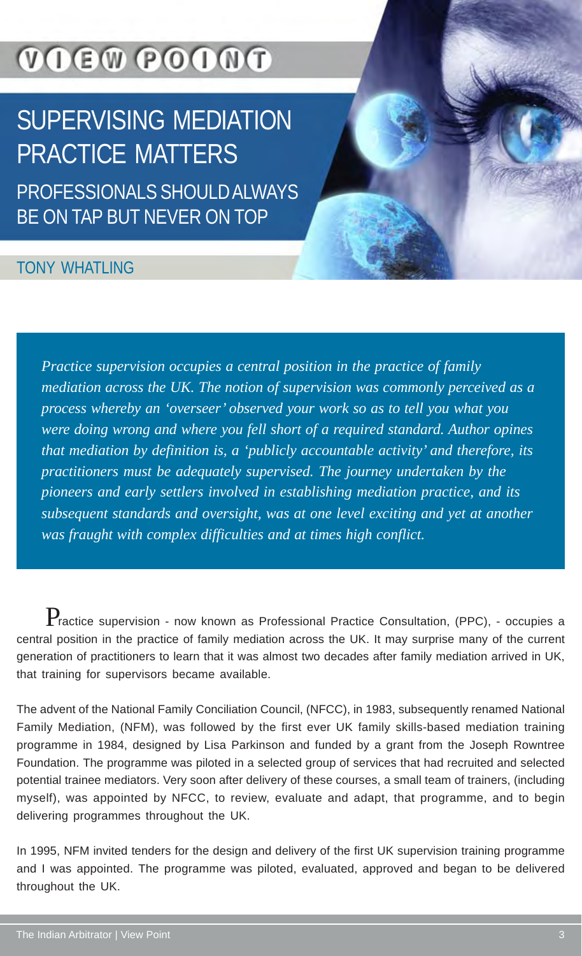# **VOEW POONT**

### SUPERVISING MEDIATION PRACTICE MATTERS PROFESSIONALS SHOULD ALWAYS BE ON TAP BUT NEVER ON TOP

#### TONY WHATLING

*Practice supervision occupies a central position in the practice of family mediation across the UK. The notion of supervision was commonly perceived as a process whereby an 'overseer' observed your work so as to tell you what you were doing wrong and where you fell short of a required standard. Author opines that mediation by definition is, a 'publicly accountable activity' and therefore, its practitioners must be adequately supervised. The journey undertaken by the pioneers and early settlers involved in establishing mediation practice, and its subsequent standards and oversight, was at one level exciting and yet at another was fraught with complex difficulties and at times high conflict.*

 ${\bf P}$ ractice supervision - now known as Professional Practice Consultation, (PPC), - occupies a central position in the practice of family mediation across the UK. It may surprise many of the current generation of practitioners to learn that it was almost two decades after family mediation arrived in UK, that training for supervisors became available.

The advent of the National Family Conciliation Council, (NFCC), in 1983, subsequently renamed National Family Mediation, (NFM), was followed by the first ever UK family skills-based mediation training programme in 1984, designed by Lisa Parkinson and funded by a grant from the Joseph Rowntree Foundation. The programme was piloted in a selected group of services that had recruited and selected potential trainee mediators. Very soon after delivery of these courses, a small team of trainers, (including myself), was appointed by NFCC, to review, evaluate and adapt, that programme, and to begin delivering programmes throughout the UK.

In 1995, NFM invited tenders for the design and delivery of the first UK supervision training programme and I was appointed. The programme was piloted, evaluated, approved and began to be delivered throughout the UK.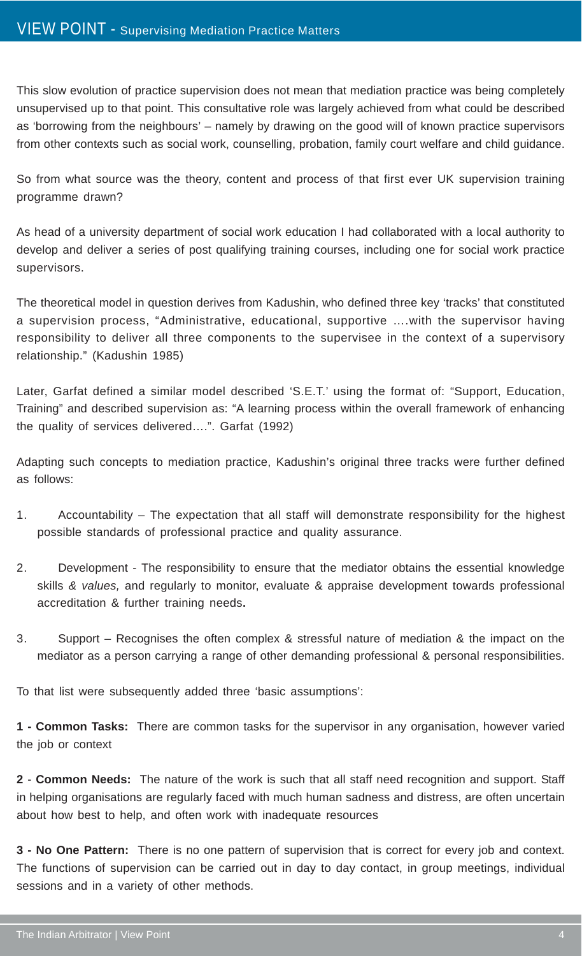This slow evolution of practice supervision does not mean that mediation practice was being completely unsupervised up to that point. This consultative role was largely achieved from what could be described as 'borrowing from the neighbours' – namely by drawing on the good will of known practice supervisors from other contexts such as social work, counselling, probation, family court welfare and child guidance.

So from what source was the theory, content and process of that first ever UK supervision training programme drawn?

As head of a university department of social work education I had collaborated with a local authority to develop and deliver a series of post qualifying training courses, including one for social work practice supervisors.

The theoretical model in question derives from Kadushin, who defined three key 'tracks' that constituted a supervision process, "Administrative, educational, supportive ….with the supervisor having responsibility to deliver all three components to the supervisee in the context of a supervisory relationship." (Kadushin 1985)

Later, Garfat defined a similar model described 'S.E.T.' using the format of: "Support, Education, Training" and described supervision as: "A learning process within the overall framework of enhancing the quality of services delivered….". Garfat (1992)

Adapting such concepts to mediation practice, Kadushin's original three tracks were further defined as follows:

- 1. Accountability The expectation that all staff will demonstrate responsibility for the highest possible standards of professional practice and quality assurance.
- 2. Development The responsibility to ensure that the mediator obtains the essential knowledge skills *& values,* and regularly to monitor, evaluate & appraise development towards professional accreditation & further training needs**.**
- 3. Support Recognises the often complex & stressful nature of mediation & the impact on the mediator as a person carrying a range of other demanding professional & personal responsibilities.

To that list were subsequently added three 'basic assumptions':

**1 - Common Tasks:** There are common tasks for the supervisor in any organisation, however varied the job or context

**2** - **Common Needs:** The nature of the work is such that all staff need recognition and support. Staff in helping organisations are regularly faced with much human sadness and distress, are often uncertain about how best to help, and often work with inadequate resources

**3 - No One Pattern:** There is no one pattern of supervision that is correct for every job and context. The functions of supervision can be carried out in day to day contact, in group meetings, individual sessions and in a variety of other methods.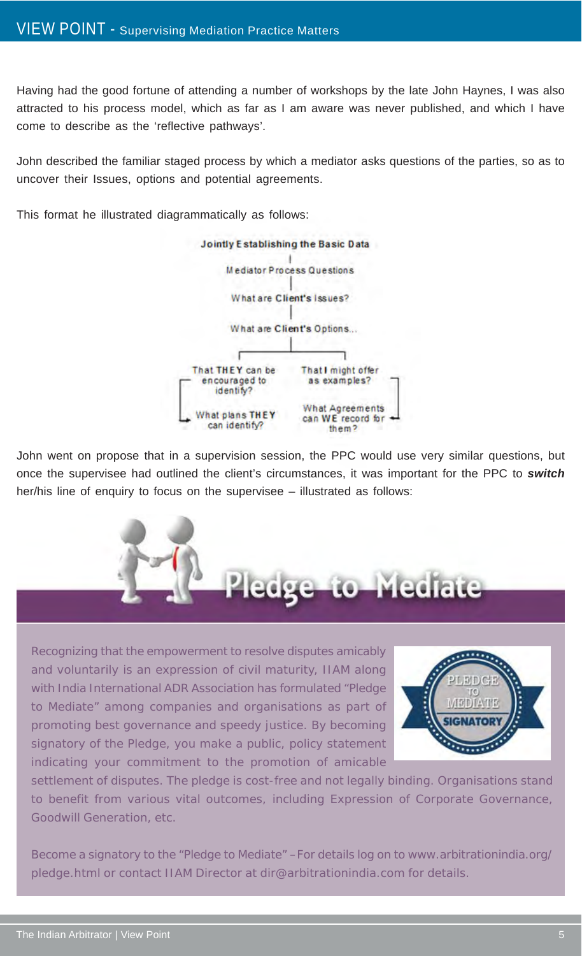Having had the good fortune of attending a number of workshops by the late John Haynes, I was also attracted to his process model, which as far as I am aware was never published, and which I have come to describe as the 'reflective pathways'.

John described the familiar staged process by which a mediator asks questions of the parties, so as to uncover their Issues, options and potential agreements.

This format he illustrated diagrammatically as follows:



John went on propose that in a supervision session, the PPC would use very similar questions, but once the supervisee had outlined the client's circumstances, it was important for the PPC to *switch* her/his line of enquiry to focus on the supervisee – illustrated as follows:



Recognizing that the empowerment to resolve disputes amicably and voluntarily is an expression of civil maturity, IIAM along with India International ADR Association has formulated "Pledge to Mediate" among companies and organisations as part of promoting best governance and speedy justice. By becoming signatory of the Pledge, you make a public, policy statement indicating your commitment to the promotion of amicable



settlement of disputes. The pledge is cost-free and not legally binding. Organisations stand to benefit from various vital outcomes, including Expression of Corporate Governance, Goodwill Generation, etc.

Become a signatory to the "Pledge to Mediate" –For details log on to www.arbitrationindia.org/ pledge.html or contact IIAM Director at dir@arbitrationindia.com for details.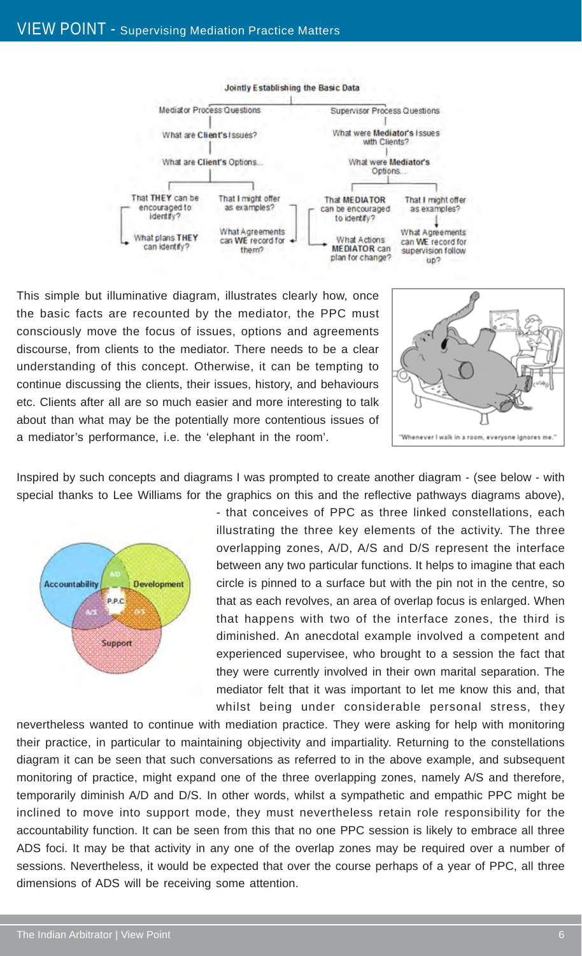

This simple but illuminative diagram, illustrates clearly how, once the basic facts are recounted by the mediator, the PPC must consciously move the focus of issues, options and agreements discourse, from clients to the mediator. There needs to be a clear understanding of this concept. Otherwise, it can be tempting to continue discussing the clients, their issues, history, and behaviours etc. Clients after all are so much easier and more interesting to talk about than what may be the potentially more contentious issues of a mediator's performance, i.e. the 'elephant in the room'.



Inspired by such concepts and diagrams I was prompted to create another diagram - (see below - with special thanks to Lee Williams for the graphics on this and the reflective pathways diagrams above),



- that conceives of PPC as three linked constellations, each illustrating the three key elements of the activity. The three overlapping zones, A/D, A/S and D/S represent the interface between any two particular functions. It helps to imagine that each circle is pinned to a surface but with the pin not in the centre, so that as each revolves, an area of overlap focus is enlarged. When that happens with two of the interface zones, the third is diminished. An anecdotal example involved a competent and experienced supervisee, who brought to a session the fact that they were currently involved in their own marital separation. The mediator felt that it was important to let me know this and, that whilst being under considerable personal stress, they

nevertheless wanted to continue with mediation practice. They were asking for help with monitoring their practice, in particular to maintaining objectivity and impartiality. Returning to the constellations diagram it can be seen that such conversations as referred to in the above example, and subsequent monitoring of practice, might expand one of the three overlapping zones, namely A/S and therefore, temporarily diminish A/D and D/S. In other words, whilst a sympathetic and empathic PPC might be inclined to move into support mode, they must nevertheless retain role responsibility for the accountability function. It can be seen from this that no one PPC session is likely to embrace all three ADS foci. It may be that activity in any one of the overlap zones may be required over a number of sessions. Nevertheless, it would be expected that over the course perhaps of a year of PPC, all three dimensions of ADS will be receiving some attention.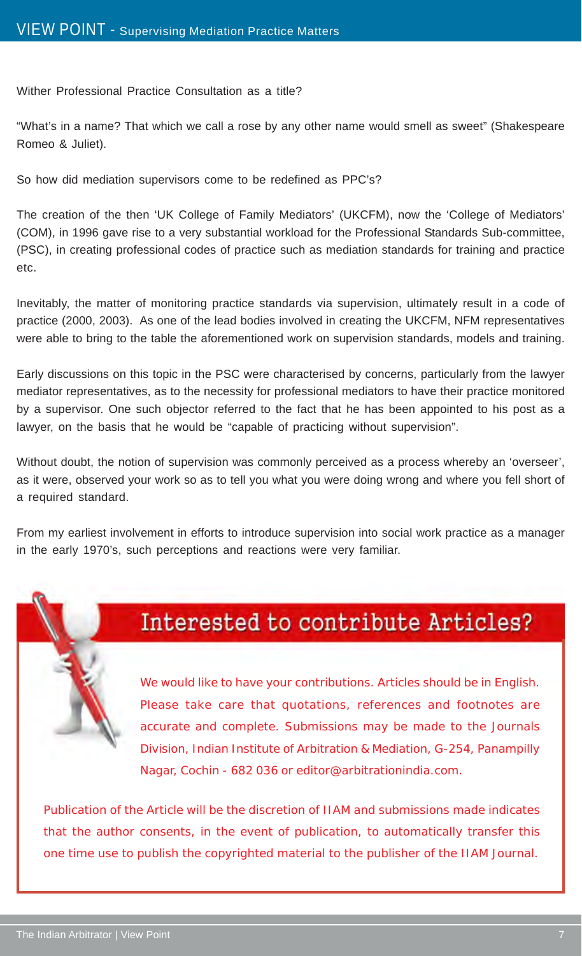Wither Professional Practice Consultation as a title?

"What's in a name? That which we call a rose by any other name would smell as sweet" (Shakespeare Romeo & Juliet).

So how did mediation supervisors come to be redefined as PPC's?

The creation of the then 'UK College of Family Mediators' (UKCFM), now the 'College of Mediators' (COM), in 1996 gave rise to a very substantial workload for the Professional Standards Sub-committee, (PSC), in creating professional codes of practice such as mediation standards for training and practice etc.

Inevitably, the matter of monitoring practice standards via supervision, ultimately result in a code of practice (2000, 2003). As one of the lead bodies involved in creating the UKCFM, NFM representatives were able to bring to the table the aforementioned work on supervision standards, models and training.

Early discussions on this topic in the PSC were characterised by concerns, particularly from the lawyer mediator representatives, as to the necessity for professional mediators to have their practice monitored by a supervisor. One such objector referred to the fact that he has been appointed to his post as a lawyer, on the basis that he would be "capable of practicing without supervision".

Without doubt, the notion of supervision was commonly perceived as a process whereby an 'overseer', as it were, observed your work so as to tell you what you were doing wrong and where you fell short of a required standard.

From my earliest involvement in efforts to introduce supervision into social work practice as a manager in the early 1970's, such perceptions and reactions were very familiar.

### Interested to contribute Articles?

We would like to have your contributions. Articles should be in English. Please take care that quotations, references and footnotes are accurate and complete. Submissions may be made to the Journals Division, Indian Institute of Arbitration & Mediation, G-254, Panampilly Nagar, Cochin - 682 036 or editor@arbitrationindia.com.

Publication of the Article will be the discretion of IIAM and submissions made indicates that the author consents, in the event of publication, to automatically transfer this one time use to publish the copyrighted material to the publisher of the IIAM Journal.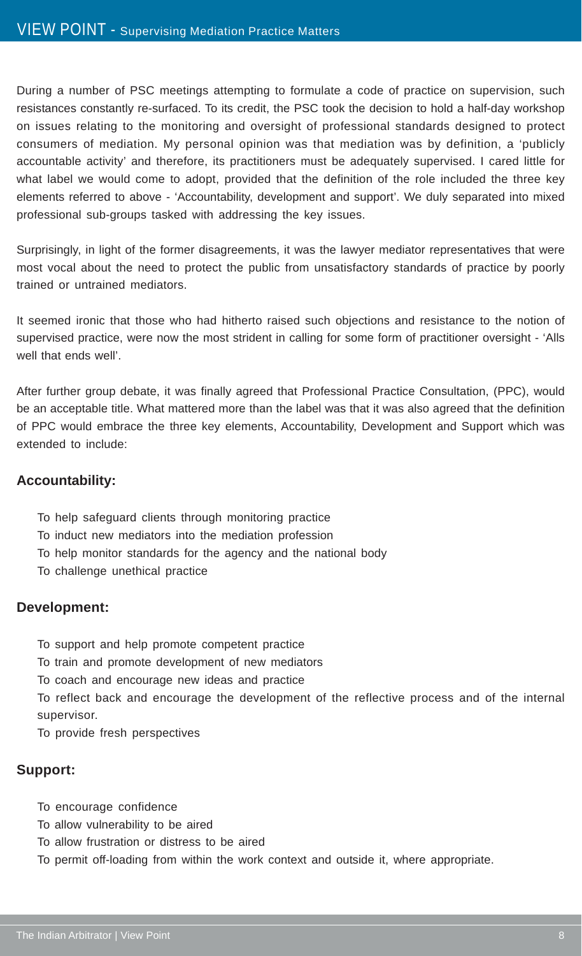During a number of PSC meetings attempting to formulate a code of practice on supervision, such resistances constantly re-surfaced. To its credit, the PSC took the decision to hold a half-day workshop on issues relating to the monitoring and oversight of professional standards designed to protect consumers of mediation. My personal opinion was that mediation was by definition, a 'publicly accountable activity' and therefore, its practitioners must be adequately supervised. I cared little for what label we would come to adopt, provided that the definition of the role included the three key elements referred to above - 'Accountability, development and support'. We duly separated into mixed professional sub-groups tasked with addressing the key issues.

Surprisingly, in light of the former disagreements, it was the lawyer mediator representatives that were most vocal about the need to protect the public from unsatisfactory standards of practice by poorly trained or untrained mediators.

It seemed ironic that those who had hitherto raised such objections and resistance to the notion of supervised practice, were now the most strident in calling for some form of practitioner oversight - 'Alls well that ends well'.

After further group debate, it was finally agreed that Professional Practice Consultation, (PPC), would be an acceptable title. What mattered more than the label was that it was also agreed that the definition of PPC would embrace the three key elements, Accountability, Development and Support which was extended to include:

#### **Accountability:**

- To help safeguard clients through monitoring practice
- To induct new mediators into the mediation profession
- To help monitor standards for the agency and the national body
- To challenge unethical practice

#### **Development:**

- To support and help promote competent practice
- To train and promote development of new mediators
- To coach and encourage new ideas and practice

To reflect back and encourage the development of the reflective process and of the internal supervisor.

To provide fresh perspectives

#### **Support:**

- To encourage confidence
- To allow vulnerability to be aired
- To allow frustration or distress to be aired
- To permit off-loading from within the work context and outside it, where appropriate.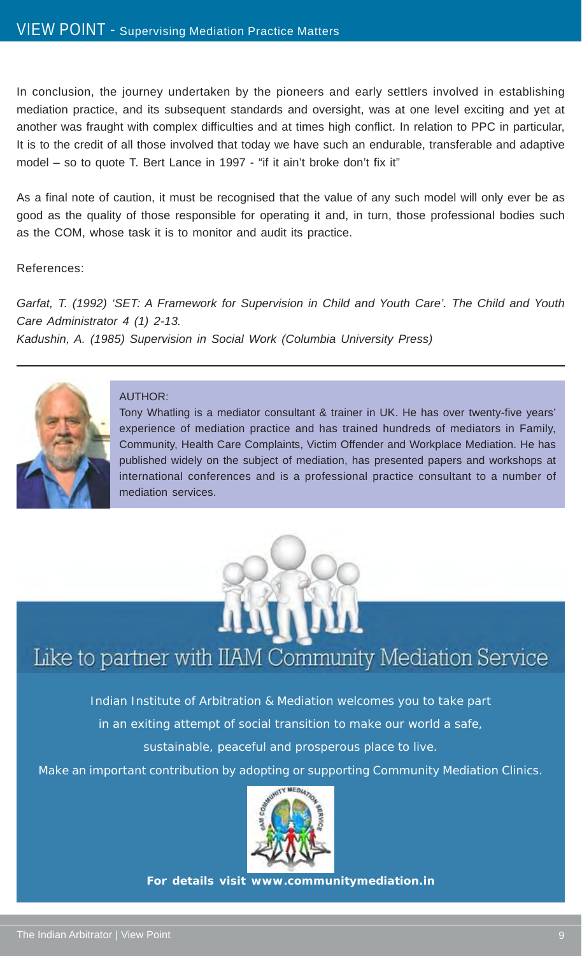In conclusion, the journey undertaken by the pioneers and early settlers involved in establishing mediation practice, and its subsequent standards and oversight, was at one level exciting and yet at another was fraught with complex difficulties and at times high conflict. In relation to PPC in particular, It is to the credit of all those involved that today we have such an endurable, transferable and adaptive model – so to quote T. Bert Lance in 1997 - "if it ain't broke don't fix it"

As a final note of caution, it must be recognised that the value of any such model will only ever be as good as the quality of those responsible for operating it and, in turn, those professional bodies such as the COM, whose task it is to monitor and audit its practice.

#### References:

*Garfat, T. (1992) 'SET: A Framework for Supervision in Child and Youth Care'. The Child and Youth Care Administrator 4 (1) 2-13. Kadushin, A. (1985) Supervision in Social Work (Columbia University Press)*



#### AUTHOR:

Tony Whatling is a mediator consultant & trainer in UK. He has over twenty-five years' experience of mediation practice and has trained hundreds of mediators in Family, Community, Health Care Complaints, Victim Offender and Workplace Mediation. He has published widely on the subject of mediation, has presented papers and workshops at international conferences and is a professional practice consultant to a number of mediation services.



### Like to partner with IIAM Community Mediation Service

Indian Institute of Arbitration & Mediation welcomes you to take part

in an exiting attempt of social transition to make our world a safe,

sustainable, peaceful and prosperous place to live.

Make an important contribution by adopting or supporting Community Mediation Clinics.



**For details visit www.communitymediation.in**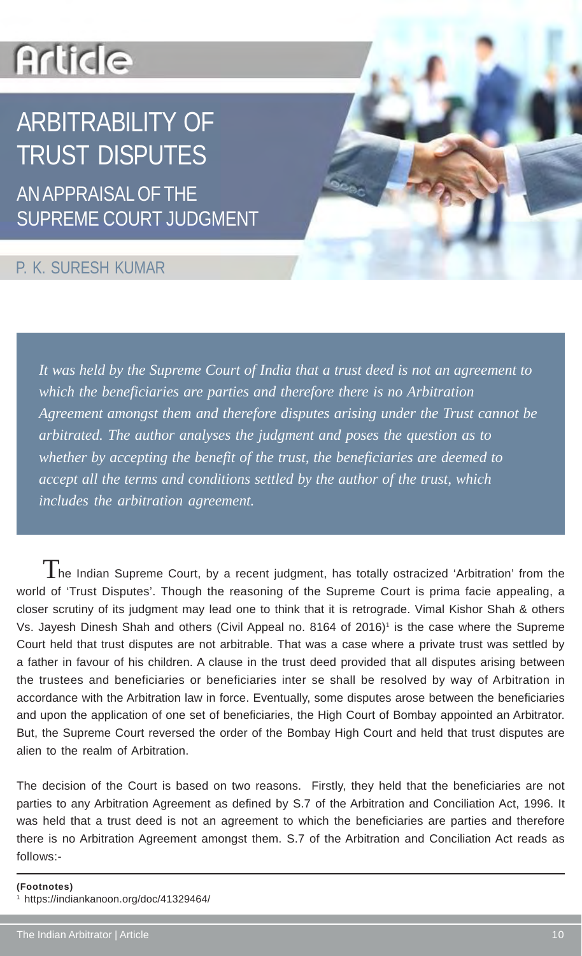# **Article**

# ARBITRABILITY OF TRUST DISPUTES

AN APPRAISAL OF THE SUPREME COURT JUDGMENT

#### P. K. SURESH KUMAR

*It was held by the Supreme Court of India that a trust deed is not an agreement to which the beneficiaries are parties and therefore there is no Arbitration Agreement amongst them and therefore disputes arising under the Trust cannot be arbitrated. The author analyses the judgment and poses the question as to whether by accepting the benefit of the trust, the beneficiaries are deemed to accept all the terms and conditions settled by the author of the trust, which includes the arbitration agreement.*

 $\bf{T}$ he Indian Supreme Court, by a recent judgment, has totally ostracized 'Arbitration' from the world of 'Trust Disputes'. Though the reasoning of the Supreme Court is prima facie appealing, a closer scrutiny of its judgment may lead one to think that it is retrograde. Vimal Kishor Shah & others Vs. Jayesh Dinesh Shah and others (Civil Appeal no. 8164 of 2016)<sup>1</sup> is the case where the Supreme Court held that trust disputes are not arbitrable. That was a case where a private trust was settled by a father in favour of his children. A clause in the trust deed provided that all disputes arising between the trustees and beneficiaries or beneficiaries inter se shall be resolved by way of Arbitration in accordance with the Arbitration law in force. Eventually, some disputes arose between the beneficiaries and upon the application of one set of beneficiaries, the High Court of Bombay appointed an Arbitrator. But, the Supreme Court reversed the order of the Bombay High Court and held that trust disputes are alien to the realm of Arbitration.

The decision of the Court is based on two reasons. Firstly, they held that the beneficiaries are not parties to any Arbitration Agreement as defined by S.7 of the Arbitration and Conciliation Act, 1996. It was held that a trust deed is not an agreement to which the beneficiaries are parties and therefore there is no Arbitration Agreement amongst them. S.7 of the Arbitration and Conciliation Act reads as follows:-

#### **(Footnotes)**

1 https://indiankanoon.org/doc/41329464/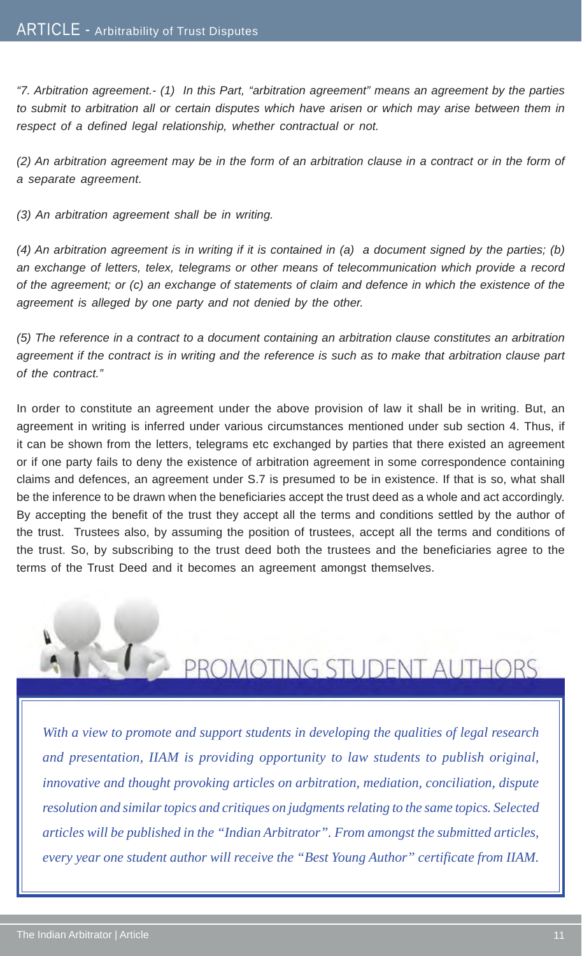*"7. Arbitration agreement.- (1) In this Part, "arbitration agreement" means an agreement by the parties to submit to arbitration all or certain disputes which have arisen or which may arise between them in respect of a defined legal relationship, whether contractual or not.*

*(2) An arbitration agreement may be in the form of an arbitration clause in a contract or in the form of a separate agreement.*

*(3) An arbitration agreement shall be in writing.*

*(4) An arbitration agreement is in writing if it is contained in (a) a document signed by the parties; (b) an exchange of letters, telex, telegrams or other means of telecommunication which provide a record of the agreement; or (c) an exchange of statements of claim and defence in which the existence of the agreement is alleged by one party and not denied by the other.*

*(5) The reference in a contract to a document containing an arbitration clause constitutes an arbitration agreement if the contract is in writing and the reference is such as to make that arbitration clause part of the contract."*

In order to constitute an agreement under the above provision of law it shall be in writing. But, an agreement in writing is inferred under various circumstances mentioned under sub section 4. Thus, if it can be shown from the letters, telegrams etc exchanged by parties that there existed an agreement or if one party fails to deny the existence of arbitration agreement in some correspondence containing claims and defences, an agreement under S.7 is presumed to be in existence. If that is so, what shall be the inference to be drawn when the beneficiaries accept the trust deed as a whole and act accordingly. By accepting the benefit of the trust they accept all the terms and conditions settled by the author of the trust. Trustees also, by assuming the position of trustees, accept all the terms and conditions of the trust. So, by subscribing to the trust deed both the trustees and the beneficiaries agree to the terms of the Trust Deed and it becomes an agreement amongst themselves.

# PROMOTING STUDENT AUTHORS

*With a view to promote and support students in developing the qualities of legal research and presentation, IIAM is providing opportunity to law students to publish original, innovative and thought provoking articles on arbitration, mediation, conciliation, dispute resolution and similar topics and critiques on judgments relating to the same topics. Selected articles will be published in the "Indian Arbitrator". From amongst the submitted articles, every year one student author will receive the "Best Young Author" certificate from IIAM.*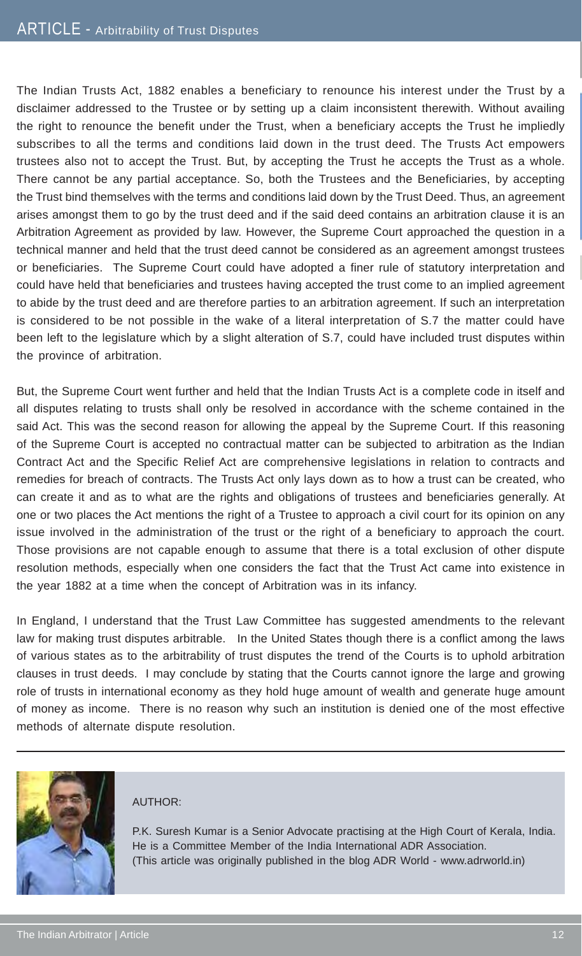The Indian Trusts Act, 1882 enables a beneficiary to renounce his interest under the Trust by a disclaimer addressed to the Trustee or by setting up a claim inconsistent therewith. Without availing the right to renounce the benefit under the Trust, when a beneficiary accepts the Trust he impliedly subscribes to all the terms and conditions laid down in the trust deed. The Trusts Act empowers trustees also not to accept the Trust. But, by accepting the Trust he accepts the Trust as a whole. There cannot be any partial acceptance. So, both the Trustees and the Beneficiaries, by accepting the Trust bind themselves with the terms and conditions laid down by the Trust Deed. Thus, an agreement arises amongst them to go by the trust deed and if the said deed contains an arbitration clause it is an Arbitration Agreement as provided by law. However, the Supreme Court approached the question in a technical manner and held that the trust deed cannot be considered as an agreement amongst trustees or beneficiaries. The Supreme Court could have adopted a finer rule of statutory interpretation and could have held that beneficiaries and trustees having accepted the trust come to an implied agreement to abide by the trust deed and are therefore parties to an arbitration agreement. If such an interpretation is considered to be not possible in the wake of a literal interpretation of S.7 the matter could have been left to the legislature which by a slight alteration of S.7, could have included trust disputes within the province of arbitration.

But, the Supreme Court went further and held that the Indian Trusts Act is a complete code in itself and all disputes relating to trusts shall only be resolved in accordance with the scheme contained in the said Act. This was the second reason for allowing the appeal by the Supreme Court. If this reasoning of the Supreme Court is accepted no contractual matter can be subjected to arbitration as the Indian Contract Act and the Specific Relief Act are comprehensive legislations in relation to contracts and remedies for breach of contracts. The Trusts Act only lays down as to how a trust can be created, who can create it and as to what are the rights and obligations of trustees and beneficiaries generally. At one or two places the Act mentions the right of a Trustee to approach a civil court for its opinion on any issue involved in the administration of the trust or the right of a beneficiary to approach the court. Those provisions are not capable enough to assume that there is a total exclusion of other dispute resolution methods, especially when one considers the fact that the Trust Act came into existence in the year 1882 at a time when the concept of Arbitration was in its infancy.

In England, I understand that the Trust Law Committee has suggested amendments to the relevant law for making trust disputes arbitrable. In the United States though there is a conflict among the laws of various states as to the arbitrability of trust disputes the trend of the Courts is to uphold arbitration clauses in trust deeds. I may conclude by stating that the Courts cannot ignore the large and growing role of trusts in international economy as they hold huge amount of wealth and generate huge amount of money as income. There is no reason why such an institution is denied one of the most effective methods of alternate dispute resolution.



#### AUTHOR:

P.K. Suresh Kumar is a Senior Advocate practising at the High Court of Kerala, India. He is a Committee Member of the India International ADR Association. (This article was originally published in the blog ADR World - www.adrworld.in)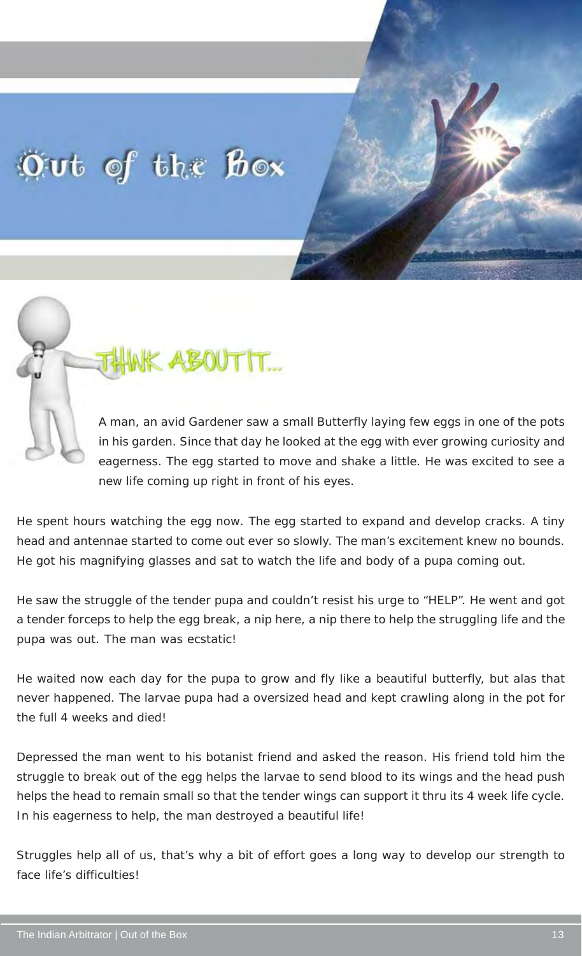# Out of the Box



A man, an avid Gardener saw a small Butterfly laying few eggs in one of the pots in his garden. Since that day he looked at the egg with ever growing curiosity and eagerness. The egg started to move and shake a little. He was excited to see a new life coming up right in front of his eyes.

He spent hours watching the egg now. The egg started to expand and develop cracks. A tiny head and antennae started to come out ever so slowly. The man's excitement knew no bounds. He got his magnifying glasses and sat to watch the life and body of a pupa coming out.

He saw the struggle of the tender pupa and couldn't resist his urge to "HELP". He went and got a tender forceps to help the egg break, a nip here, a nip there to help the struggling life and the pupa was out. The man was ecstatic!

He waited now each day for the pupa to grow and fly like a beautiful butterfly, but alas that never happened. The larvae pupa had a oversized head and kept crawling along in the pot for the full 4 weeks and died!

Depressed the man went to his botanist friend and asked the reason. His friend told him the struggle to break out of the egg helps the larvae to send blood to its wings and the head push helps the head to remain small so that the tender wings can support it thru its 4 week life cycle. In his eagerness to help, the man destroyed a beautiful life!

Struggles help all of us, that's why a bit of effort goes a long way to develop our strength to face life's difficulties!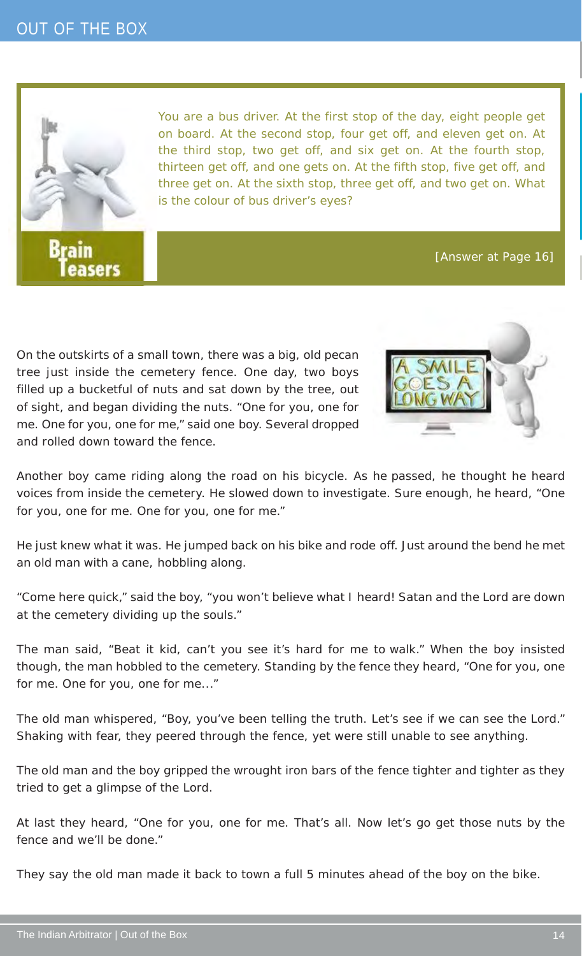

Brain easers You are a bus driver. At the first stop of the day, eight people get on board. At the second stop, four get off, and eleven get on. At the third stop, two get off, and six get on. At the fourth stop, thirteen get off, and one gets on. At the fifth stop, five get off, and three get on. At the sixth stop, three get off, and two get on. What is the colour of bus driver's eyes?

[Answer at Page 16]

On the outskirts of a small town, there was a big, old pecan tree just inside the cemetery fence. One day, two boys filled up a bucketful of nuts and sat down by the tree, out of sight, and began dividing the nuts. "One for you, one for me. One for you, one for me," said one boy. Several dropped and rolled down toward the fence.



Another boy came riding along the road on his bicycle. As he passed, he thought he heard voices from inside the cemetery. He slowed down to investigate. Sure enough, he heard, "One for you, one for me. One for you, one for me."

He just knew what it was. He jumped back on his bike and rode off. Just around the bend he met an old man with a cane, hobbling along.

"Come here quick," said the boy, "you won't believe what I heard! Satan and the Lord are down at the cemetery dividing up the souls."

The man said, "Beat it kid, can't you see it's hard for me to walk." When the boy insisted though, the man hobbled to the cemetery. Standing by the fence they heard, "One for you, one for me. One for you, one for me..."

The old man whispered, "Boy, you've been telling the truth. Let's see if we can see the Lord." Shaking with fear, they peered through the fence, yet were still unable to see anything.

The old man and the boy gripped the wrought iron bars of the fence tighter and tighter as they tried to get a glimpse of the Lord.

At last they heard, "One for you, one for me. That's all. Now let's go get those nuts by the fence and we'll be done."

They say the old man made it back to town a full 5 minutes ahead of the boy on the bike.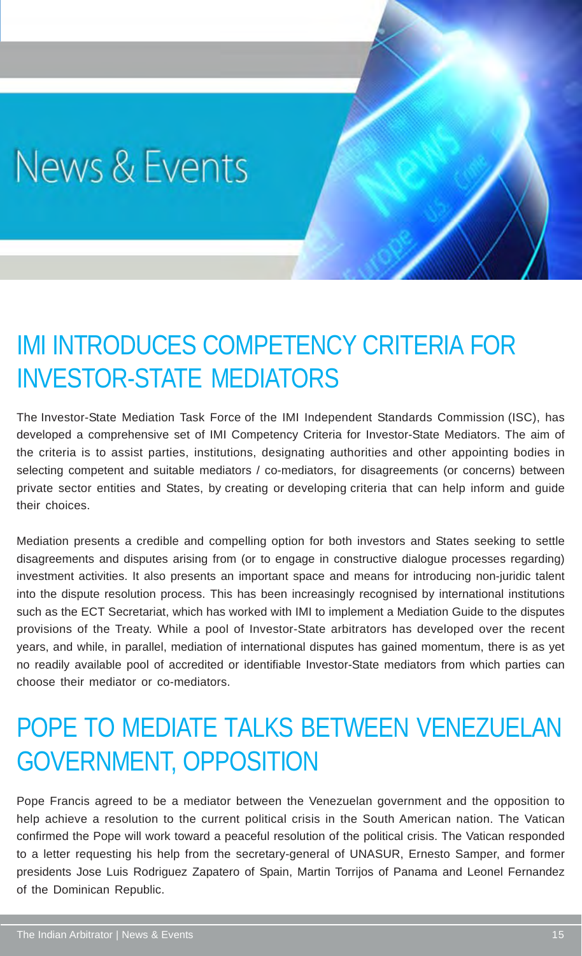# News & Events

# IMI INTRODUCES COMPETENCY CRITERIA FOR INVESTOR-STATE MEDIATORS

The Investor-State Mediation Task Force of the IMI Independent Standards Commission (ISC), has developed a comprehensive set of IMI Competency Criteria for Investor-State Mediators. The aim of the criteria is to assist parties, institutions, designating authorities and other appointing bodies in selecting competent and suitable mediators / co-mediators, for disagreements (or concerns) between private sector entities and States, by creating or developing criteria that can help inform and guide their choices.

Mediation presents a credible and compelling option for both investors and States seeking to settle disagreements and disputes arising from (or to engage in constructive dialogue processes regarding) investment activities. It also presents an important space and means for introducing non-juridic talent into the dispute resolution process. This has been increasingly recognised by international institutions such as the ECT Secretariat, which has worked with IMI to implement a Mediation Guide to the disputes provisions of the Treaty. While a pool of Investor-State arbitrators has developed over the recent years, and while, in parallel, mediation of international disputes has gained momentum, there is as yet no readily available pool of accredited or identifiable Investor-State mediators from which parties can choose their mediator or co-mediators.

# POPE TO MEDIATE TALKS BETWEEN VENEZUELAN GOVERNMENT, OPPOSITION

Pope Francis agreed to be a mediator between the Venezuelan government and the opposition to help achieve a resolution to the current political crisis in the South American nation. The Vatican confirmed the Pope will work toward a peaceful resolution of the political crisis. The Vatican responded to a letter requesting his help from the secretary-general of UNASUR, Ernesto Samper, and former presidents Jose Luis Rodriguez Zapatero of Spain, Martin Torrijos of Panama and Leonel Fernandez of the Dominican Republic.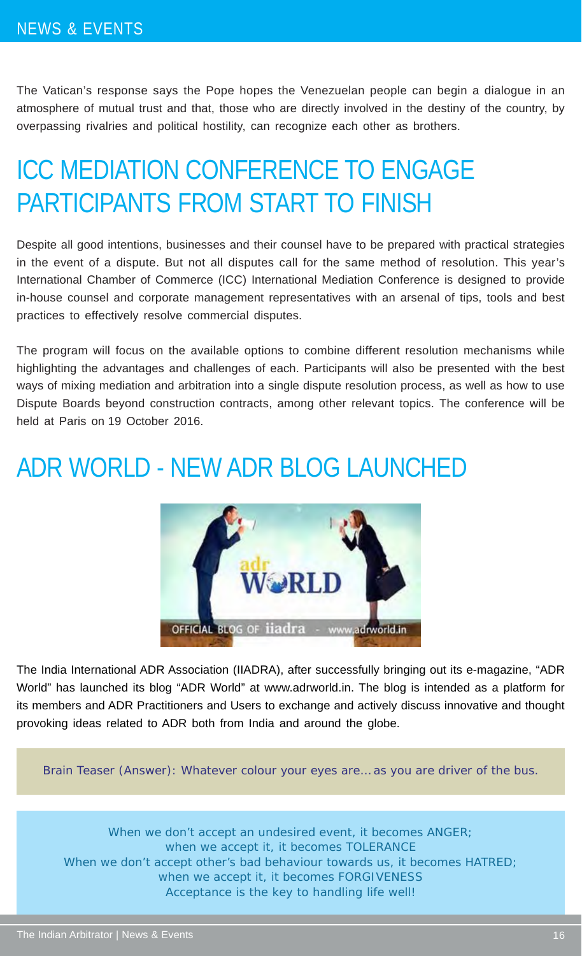The Vatican's response says the Pope hopes the Venezuelan people can begin a dialogue in an atmosphere of mutual trust and that, those who are directly involved in the destiny of the country, by overpassing rivalries and political hostility, can recognize each other as brothers.

# ICC MEDIATION CONFERENCE TO ENGAGE PARTICIPANTS FROM START TO FINISH

Despite all good intentions, businesses and their counsel have to be prepared with practical strategies in the event of a dispute. But not all disputes call for the same method of resolution. This year's International Chamber of Commerce (ICC) International Mediation Conference is designed to provide in-house counsel and corporate management representatives with an arsenal of tips, tools and best practices to effectively resolve commercial disputes.

The program will focus on the available options to combine different resolution mechanisms while highlighting the advantages and challenges of each. Participants will also be presented with the best ways of mixing mediation and arbitration into a single dispute resolution process, as well as how to use Dispute Boards beyond construction contracts, among other relevant topics. The conference will be held at Paris on 19 October 2016.

### ADR WORLD - NEW ADR BLOG LAUNCHED



The India International ADR Association (IIADRA), after successfully bringing out its e-magazine, "ADR World" has launched its blog "ADR World" at www.adrworld.in. The blog is intended as a platform for its members and ADR Practitioners and Users to exchange and actively discuss innovative and thought provoking ideas related to ADR both from India and around the globe.

Brain Teaser (Answer): Whatever colour your eyes are… as you are driver of the bus.

When we don't accept an undesired event, it becomes ANGER; when we accept it, it becomes TOLERANCE When we don't accept other's bad behaviour towards us, it becomes HATRED; when we accept it, it becomes FORGIVENESS Acceptance is the key to handling life well!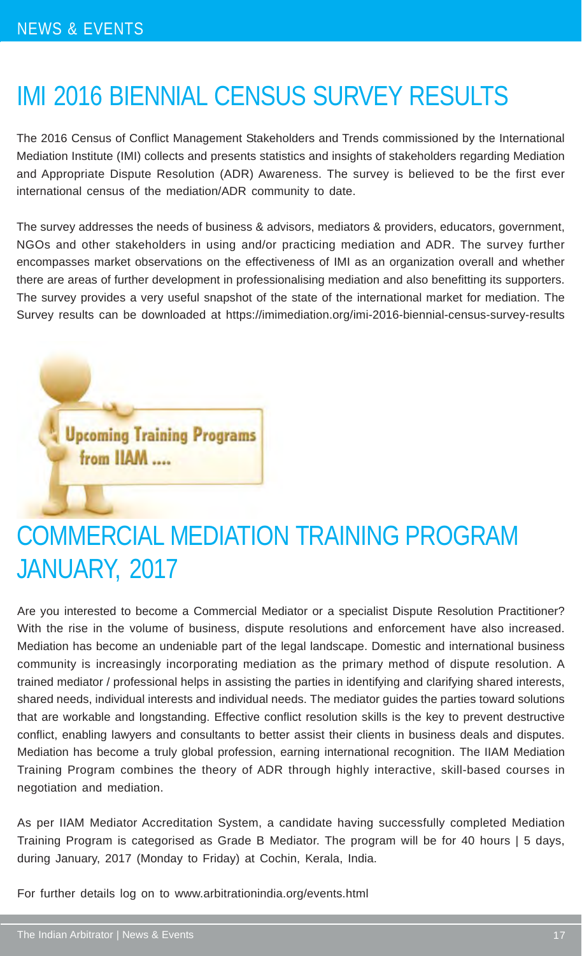# IMI 2016 BIENNIAL CENSUS SURVEY RESULTS

The 2016 Census of Conflict Management Stakeholders and Trends commissioned by the International Mediation Institute (IMI) collects and presents statistics and insights of stakeholders regarding Mediation and Appropriate Dispute Resolution (ADR) Awareness. The survey is believed to be the first ever international census of the mediation/ADR community to date.

The survey addresses the needs of business & advisors, mediators & providers, educators, government, NGOs and other stakeholders in using and/or practicing mediation and ADR. The survey further encompasses market observations on the effectiveness of IMI as an organization overall and whether there are areas of further development in professionalising mediation and also benefitting its supporters. The survey provides a very useful snapshot of the state of the international market for mediation. The Survey results can be downloaded at https://imimediation.org/imi-2016-biennial-census-survey-results

**Upcoming Training Programs** from IIAM ....

# COMMERCIAL MEDIATION TRAINING PROGRAM JANUARY, 2017

Are you interested to become a Commercial Mediator or a specialist Dispute Resolution Practitioner? With the rise in the volume of business, dispute resolutions and enforcement have also increased. Mediation has become an undeniable part of the legal landscape. Domestic and international business community is increasingly incorporating mediation as the primary method of dispute resolution. A trained mediator / professional helps in assisting the parties in identifying and clarifying shared interests, shared needs, individual interests and individual needs. The mediator guides the parties toward solutions that are workable and longstanding. Effective conflict resolution skills is the key to prevent destructive conflict, enabling lawyers and consultants to better assist their clients in business deals and disputes. Mediation has become a truly global profession, earning international recognition. The IIAM Mediation Training Program combines the theory of ADR through highly interactive, skill-based courses in negotiation and mediation.

As per IIAM Mediator Accreditation System, a candidate having successfully completed Mediation Training Program is categorised as Grade B Mediator. The program will be for 40 hours | 5 days, during January, 2017 (Monday to Friday) at Cochin, Kerala, India.

For further details log on to www.arbitrationindia.org/events.html